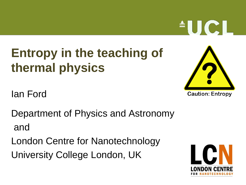# **Entropy in the teaching of thermal physics**

Ian Ford

Department of Physics and Astronomy and

London Centre for Nanotechnology

University College London, UK





 $\triangle$ UCI

**Caution: Entropy**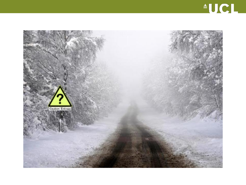

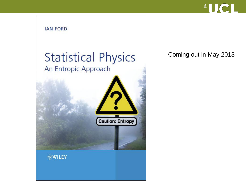<sup>A</sup>UCI



#### Coming out in May 2013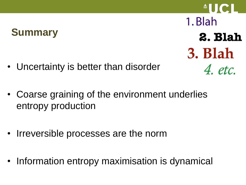### **Summary**

- Uncertainty is better than disorder
- Coarse graining of the environment underlies entropy production

 $\triangle$ UC

2. Blah

4. etc.

3. Blah

1. Blah

- Irreversible processes are the norm
- Information entropy maximisation is dynamical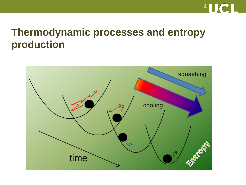

### **Thermodynamic processes and entropy production**

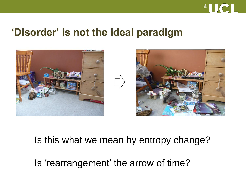

#### **'Disorder' is not the ideal paradigm**





#### Is this what we mean by entropy change?

Is 'rearrangement' the arrow of time?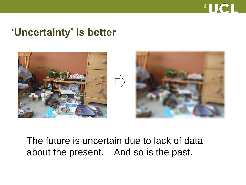

#### **'Uncertainty' is better**





#### The future is uncertain due to lack of data about the present. And so is the past.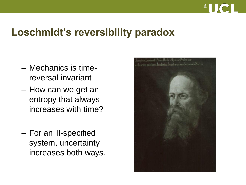

### **Loschmidt's reversibility paradox**

- Mechanics is timereversal invariant
- How can we get an entropy that always increases with time?
- For an ill-specified system, uncertainty increases both ways.

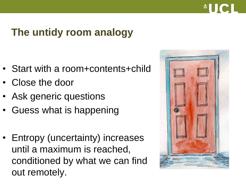

### **The untidy room analogy**

- Start with a room+contents+child
- Close the door
- Ask generic questions
- Guess what is happening
- Entropy (uncertainty) increases until a maximum is reached, conditioned by what we can find out remotely.

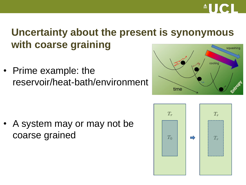### **Uncertainty about the present is synonymous with coarse graining**

• Prime example: the reservoir/heat-bath/environment

• A system may or may not be coarse grained



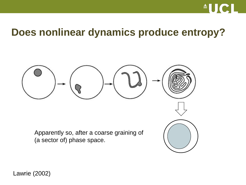

### **Does nonlinear dynamics produce entropy?**



Apparently so, after a coarse graining of (a sector of) phase space.

Lawrie (2002)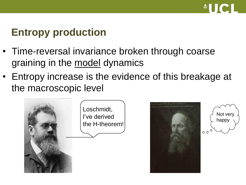

### **Entropy production**

- Time-reversal invariance broken through coarse graining in the model dynamics
- Entropy increase is the evidence of this breakage at the macroscopic level





Not very happy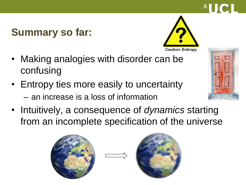### **Summary so far:**

- Making analogies with disorder can be confusing
- Entropy ties more easily to uncertainty – an increase is a loss of information
- Intuitively, a consequence of *dynamics* starting from an incomplete specification of the universe









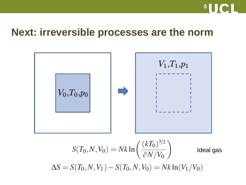

#### **Next: irreversible processes are the norm**



$$
S(T_0, N, V_0) = Nk \ln \left( \frac{(kT_0)^{3/2}}{\hat{c}N/V_0} \right)
$$
 Ideal gas  

$$
\Delta S = S(T_0, N, V_1) - S(T_0, N, V_0) = Nk \ln(V_1/V_0)
$$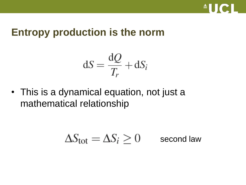

### **Entropy production is the norm**

$$
dS = \frac{dQ}{T_r} + dS_i
$$

• This is a dynamical equation, not just a mathematical relationship

$$
\Delta S_{\rm tot} = \Delta S_i \ge 0 \qquad \text{second law}
$$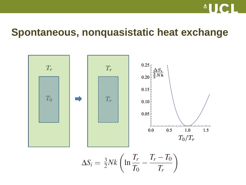

#### **Spontaneous, nonquasistatic heat exchange**

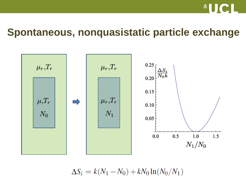$\triangle$ 

#### **Spontaneous, nonquasistatic particle exchange**



 $\Delta S_i = k(N_1 - N_0) + kN_0 \ln(N_0/N_1)$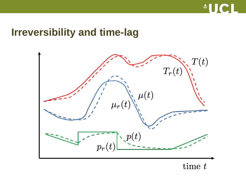

#### **Irreversibility and time-lag**



time  $t$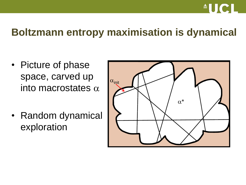

### **Boltzmann entropy maximisation is dynamical**

- Picture of phase space, carved up into macrostates  $\alpha$
- Random dynamical exploration

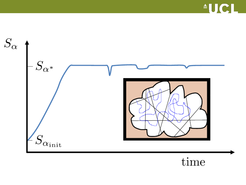**AUCL** 



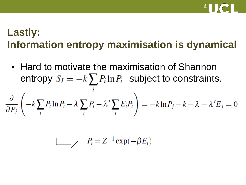

### **Lastly: Information entropy maximisation is dynamical**

• Hard to motivate the maximisation of Shannon entropy  $S_I = -k \sum_i P_i \ln P_i$  subject to constraints.  $\frac{\partial}{\partial P_i}\left(-k\sum_i P_i \ln P_i - \lambda \sum_i P_i - \lambda' \sum_i E_i P_i\right) = -k \ln P_j - k - \lambda - \lambda' E_j = 0$ 

$$
\mathbb{Z} \qquad P_i = Z^{-1} \exp(-\beta E_i)
$$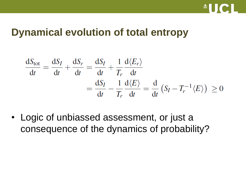

#### **Dynamical evolution of total entropy**

$$
\frac{dS_{\text{tot}}}{dt} = \frac{dS_I}{dt} + \frac{dS_r}{dt} = \frac{dS_I}{dt} + \frac{1}{T_r} \frac{d\langle E_r \rangle}{dt}
$$

$$
= \frac{dS_I}{dt} - \frac{1}{T_r} \frac{d\langle E \rangle}{dt} = \frac{d}{dt} (S_I - T_r^{-1} \langle E \rangle) \ge 0
$$

• Logic of unbiassed assessment, or just a consequence of the dynamics of probability?